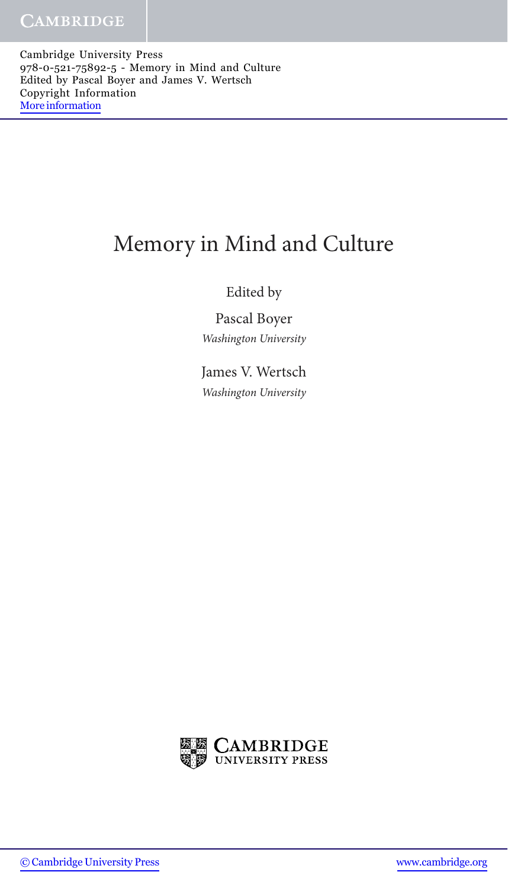Cambridge University Press 978-0-521-75892-5 - Memory in Mind and Culture Edited by Pascal Boyer and James V. Wertsch Copyright Information [More information](http://www.cambridge.org/9780521758925)

## Memory in Mind and Culture

## Edited by

Pascal Boyer *Washington University*

James V. Wertsch *Washington University*